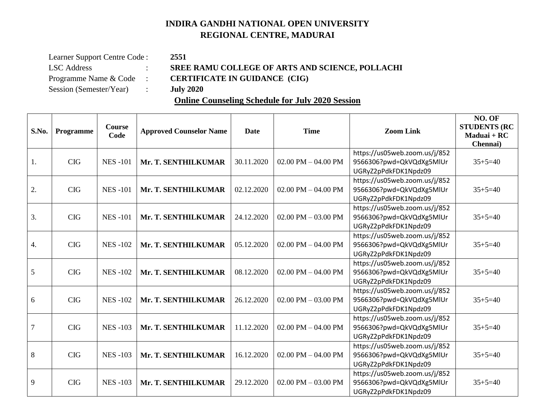## **INDIRA GANDHI NATIONAL OPEN UNIVERSITY REGIONAL CENTRE, MADURAI**

| Learner Support Centre Code: |   |  |  |  |  |
|------------------------------|---|--|--|--|--|
| <b>LSC</b> Address           |   |  |  |  |  |
| Programme Name & Code        |   |  |  |  |  |
| Session (Semester/Year)      | ٠ |  |  |  |  |

## Learner Support Centre Code : **2551** SREE RAMU COLLEGE OF ARTS AND SCIENCE, POLLACHI Programme Name & Code : **CERTIFICATE IN GUIDANCE (CIG)**

Session (Semester/Year) : **July 2020**

## **Online Counseling Schedule for July 2020 Session**

| S.No.          | Programme  | Course<br>Code | <b>Approved Counselor Name</b> | Date       | <b>Time</b>             | <b>Zoom Link</b>                                                                  | NO. OF<br><b>STUDENTS (RC</b><br>Maduai + RC<br>Chennai) |
|----------------|------------|----------------|--------------------------------|------------|-------------------------|-----------------------------------------------------------------------------------|----------------------------------------------------------|
| 1.             | <b>CIG</b> | <b>NES-101</b> | Mr. T. SENTHILKUMAR            | 30.11.2020 | 02.00 PM $-$ 04.00 PM   | https://us05web.zoom.us/j/852<br>9566306?pwd=QkVQdXg5MlUr<br>UGRyZ2pPdkFDK1Npdz09 | $35 + 5 = 40$                                            |
| 2.             | <b>CIG</b> | <b>NES-101</b> | Mr. T. SENTHILKUMAR            | 02.12.2020 | $02.00$ PM $- 04.00$ PM | https://us05web.zoom.us/j/852<br>9566306?pwd=QkVQdXg5MlUr<br>UGRyZ2pPdkFDK1Npdz09 | $35 + 5 = 40$                                            |
| 3.             | <b>CIG</b> | <b>NES-101</b> | Mr. T. SENTHILKUMAR            | 24.12.2020 | $02.00$ PM $- 03.00$ PM | https://us05web.zoom.us/j/852<br>9566306?pwd=QkVQdXg5MlUr<br>UGRyZ2pPdkFDK1Npdz09 | $35+5=40$                                                |
| 4.             | <b>CIG</b> | <b>NES-102</b> | Mr. T. SENTHILKUMAR            | 05.12.2020 | 02.00 PM $-$ 04.00 PM   | https://us05web.zoom.us/j/852<br>9566306?pwd=QkVQdXg5MlUr<br>UGRyZ2pPdkFDK1Npdz09 | $35 + 5 = 40$                                            |
| 5              | <b>CIG</b> | <b>NES-102</b> | Mr. T. SENTHILKUMAR            | 08.12.2020 | $02.00$ PM $- 04.00$ PM | https://us05web.zoom.us/j/852<br>9566306?pwd=QkVQdXg5MlUr<br>UGRyZ2pPdkFDK1Npdz09 | $35 + 5 = 40$                                            |
| 6              | <b>CIG</b> | <b>NES-102</b> | Mr. T. SENTHILKUMAR            | 26.12.2020 | $02.00$ PM $- 03.00$ PM | https://us05web.zoom.us/j/852<br>9566306?pwd=QkVQdXg5MlUr<br>UGRyZ2pPdkFDK1Npdz09 | $35 + 5 = 40$                                            |
| $\overline{7}$ | <b>CIG</b> | <b>NES-103</b> | Mr. T. SENTHILKUMAR            | 11.12.2020 | 02.00 PM $-$ 04.00 PM   | https://us05web.zoom.us/j/852<br>9566306?pwd=QkVQdXg5MlUr<br>UGRyZ2pPdkFDK1Npdz09 | $35 + 5 = 40$                                            |
| 8              | <b>CIG</b> | <b>NES-103</b> | Mr. T. SENTHILKUMAR            | 16.12.2020 | $02.00$ PM $- 04.00$ PM | https://us05web.zoom.us/j/852<br>9566306?pwd=QkVQdXg5MlUr<br>UGRyZ2pPdkFDK1Npdz09 | $35 + 5 = 40$                                            |
| 9              | <b>CIG</b> | <b>NES-103</b> | Mr. T. SENTHILKUMAR            | 29.12.2020 | $02.00$ PM $- 03.00$ PM | https://us05web.zoom.us/j/852<br>9566306?pwd=QkVQdXg5MlUr<br>UGRyZ2pPdkFDK1Npdz09 | $35+5=40$                                                |